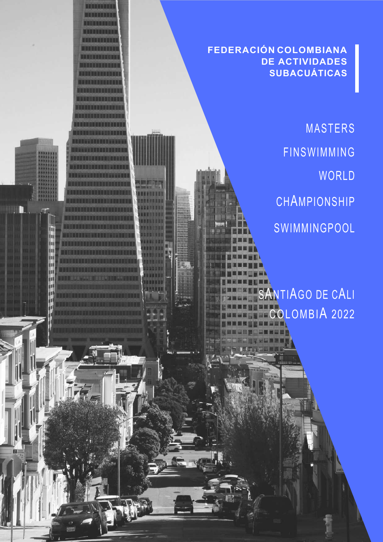### **FEDERACIÓN COLOMBIANA DE ACTIVIDADES SUBACUÁTICAS**

**NETONHOLA** 

**RICHARD DO DE L** 

H

mm an d

MASTERS FINSWIMMING WORLD CHAMPIONSHIP **SWIMMINGPOOL** 

NTIAGO DE CALI OLOMBIA 2022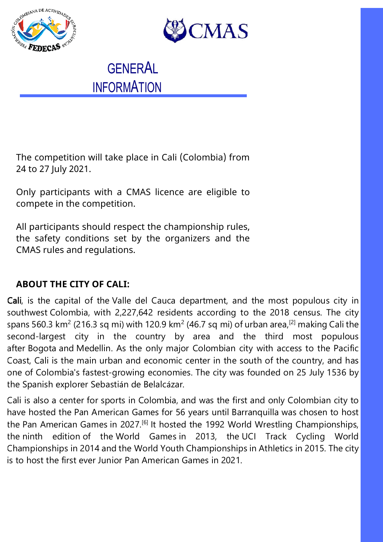



**GENERAL INFORMATION** 

The competition will take place in Cali (Colombia) from 24 to 27 July 2021.

Only participants with a CMAS licence are eligible to compete in the competition.

All participants should respect the championship rules, the safety conditions set by the organizers and the CMAS rules and regulations.

### **ABOUT THE CITY OF CALI:**

Cali, is the capital of the Valle del Cauca department, and the most populous city in southwest Colombia, with 2,227,642 residents according to the 2018 census. The city spans 560.3 km<sup>2</sup> (216.3 sq mi) with 120.9 km<sup>2</sup> (46.7 sq mi) of urban area,<sup>[2]</sup> making Cali the second-largest city in the country by area and the third most populous after Bogota and Medellin. As the only major Colombian city with access to the Pacific Coast, Cali is the main urban and economic center in the south of the country, and has one of Colombia's fastest-growing economies. The city was founded on 25 July 1536 by the Spanish explorer Sebastián de Belalcázar.

Cali is also a center for sports in Colombia, and was the first and only Colombian city to have hosted the Pan American Games for 56 years until Barranquilla was chosen to host the Pan American Games in 2027.<sup>[6]</sup> It hosted the 1992 World Wrestling Championships, the ninth edition of the World Games in 2013, the UCI Track Cycling World Championships in 2014 and the World Youth Championships in Athletics in 2015. The city is to host the first ever Junior Pan American Games in 2021.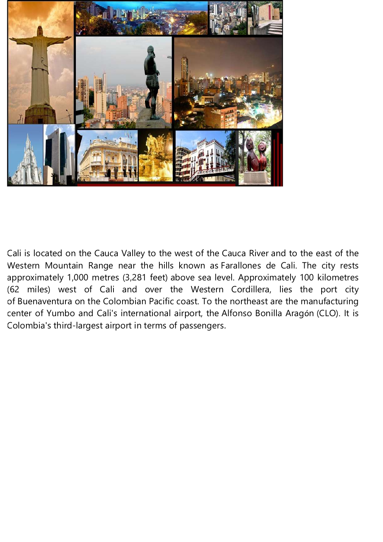

Cali is located on the Cauca Valley to the west of the Cauca River and to the east of the Western Mountain Range near the hills known as Farallones de Cali. The city rests approximately 1,000 metres (3,281 feet) above sea level. Approximately 100 kilometres (62 miles) west of Cali and over the Western Cordillera, lies the port city of Buenaventura on the Colombian Pacific coast. To the northeast are the manufacturing center of Yumbo and Cali's international airport, the Alfonso Bonilla Aragón (CLO). It is Colombia's third-largest airport in terms of passengers.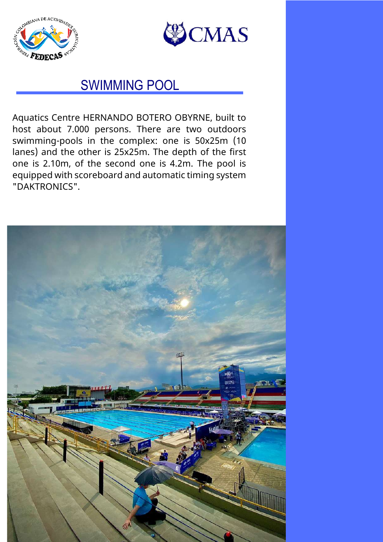



## SWIMMING POOL

Aquatics Centre HERNANDO BOTERO OBYRNE, built to host about 7.000 persons. There are two outdoors swimming-pools in the complex: one is 50x25m (10 lanes) and the other is 25x25m. The depth of the first one is 2.10m, of the second one is 4.2m. The pool is equipped with scoreboard and automatic timing system "DAKTRONICS".

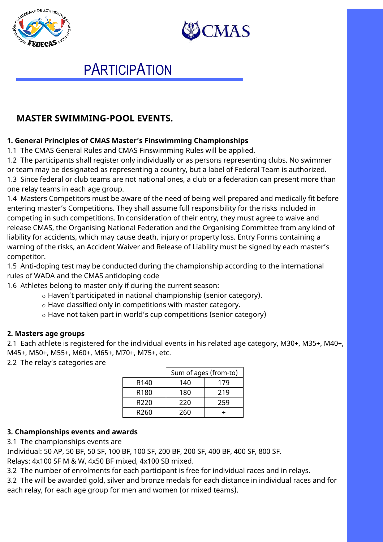



## **PARTICIPATION**

### **MASTER SWIMMING-POOL EVENTS.**

#### **1. General Principles of CMAS Master's Finswimming Championships**

1.1 The CMAS General Rules and CMAS Finswimming Rules will be applied.

1.2 The participants shall register only individually or as persons representing clubs. No swimmer or team may be designated as representing a country, but a label of Federal Team is authorized. 1.3 Since federal or club teams are not national ones, a club or a federation can present more than one relay teams in each age group.

1.4 Masters Competitors must be aware of the need of being well prepared and medically fit before entering master's Competitions. They shall assume full responsibility for the risks included in competing in such competitions. In consideration of their entry, they must agree to waive and release CMAS, the Organising National Federation and the Organising Committee from any kind of liability for accidents, which may cause death, injury or property loss. Entry Forms containing a warning of the risks, an Accident Waiver and Release of Liability must be signed by each master's competitor.

1.5 Anti-doping test may be conducted during the championship according to the international rules of WADA and the CMAS antidoping code

1.6 Athletes belong to master only if during the current season:

- o Haven't participated in national championship (senior category).
- o Have classified only in competitions with master category.

o Have not taken part in world's cup competitions (senior category)

#### **2. Masters age groups**

2.1 Each athlete is registered for the individual events in his related age category, M30+, M35+, M40+, M45+, M50+, M55+, M60+, M65+, M70+, M75+, etc.

2.2 The relay's categories are

|                  | Sum of ages (from-to) |     |
|------------------|-----------------------|-----|
| R <sub>140</sub> | 140                   | 179 |
| R <sub>180</sub> | 180                   | 219 |
| R <sub>220</sub> | 220                   | 259 |
| R260             | 260                   |     |

#### **3. Championships events and awards**

3.1 The championships events are

Individual: 50 AP, 50 BF, 50 SF, 100 BF, 100 SF, 200 BF, 200 SF, 400 BF, 400 SF, 800 SF.

Relays: 4x100 SF M & W, 4x50 BF mixed, 4x100 SB mixed.

3.2 The number of enrolments for each participant is free for individual races and in relays.

3.2 The will be awarded gold, silver and bronze medals for each distance in individual races and for each relay, for each age group for men and women (or mixed teams).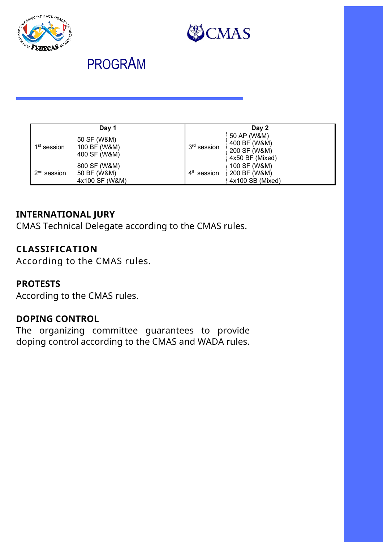



## PROGRAM

|                         | Dav 1                                         |               | Day 2                                                          |
|-------------------------|-----------------------------------------------|---------------|----------------------------------------------------------------|
| 1 <sup>st</sup> session | 50 SF (W&M)<br>100 BF (W&M)<br>400 SF (W&M)   | $3rd$ session | 50 AP (W&M)<br>400 BF (W&M)<br>200 SF (W&M)<br>4x50 BF (Mixed) |
| $2nd$ session           | 800 SF (W&M)<br>50 BF (W&M)<br>4x100 SF (W&M) | $4th$ session | 100 SF (W&M)<br>200 BF (W&M)<br>4x100 SB (Mixed)               |

### **INTERNATIONAL JURY**

CMAS Technical Delegate according to the CMAS rules.

### **CLASSIFICATION**

According to the CMAS rules.

### **PROTESTS**

According to the CMAS rules.

### **DOPING CONTROL**

The organizing committee guarantees to provide doping control according to the CMAS and WADA rules.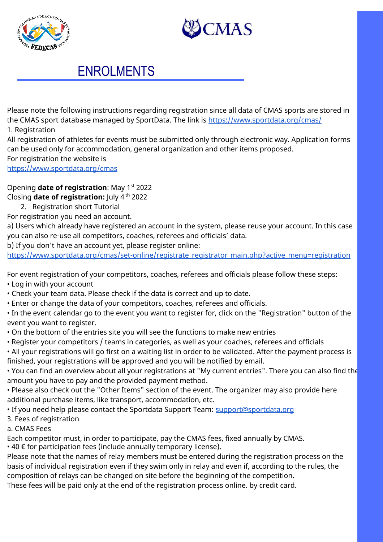



## ENROLMENTS

Please note the following instructions regarding registration since all data of CMAS sports are stored in the CMAS sport database managed by SportData. The link is https://www.sportdata.org/cmas/ 1. Registration

All registration of athletes for events must be submitted only through electronic way. Application forms can be used only for accommodation, general organization and other items proposed. For registration the website is

https://www.sportdata.org/cmas

Opening **date of registration**: May 1<sup>st</sup> 2022

Closing **date of registration:** July 4 th 2022

2. Registration short Tutorial

For registration you need an account.

a) Users which already have registered an account in the system, please reuse your account. In this case you can also re-use all competitors, coaches, referees and officials' data.

b) If you don't have an account yet, please register online:

https://www.sportdata.org/cmas/set-online/registrate\_registrator\_main.php?active\_menu=registration

For event registration of your competitors, coaches, referees and officials please follow these steps:

- Log in with your account
- Check your team data. Please check if the data is correct and up to date.
- Enter or change the data of your competitors, coaches, referees and officials.

• In the event calendar go to the event you want to register for, click on the "Registration" button of the event you want to register.

- On the bottom of the entries site you will see the functions to make new entries
- Register your competitors / teams in categories, as well as your coaches, referees and officials

• All your registrations will go first on a waiting list in order to be validated. After the payment process is finished, your registrations will be approved and you will be notified by email.

• You can find an overview about all your registrations at "My current entries". There you can also find the amount you have to pay and the provided payment method.

• Please also check out the "Other Items" section of the event. The organizer may also provide here additional purchase items, like transport, accommodation, etc.

• If you need help please contact the Sportdata Support Team: support@sportdata.org

3. Fees of registration

#### a. CMAS Fees

Each competitor must, in order to participate, pay the CMAS fees, fixed annually by CMAS.

• 40 € for participation fees (include annually temporary license).

Please note that the names of relay members must be entered during the registration process on the basis of individual registration even if they swim only in relay and even if, according to the rules, the composition of relays can be changed on site before the beginning of the competition.

These fees will be paid only at the end of the registration process online. by credit card.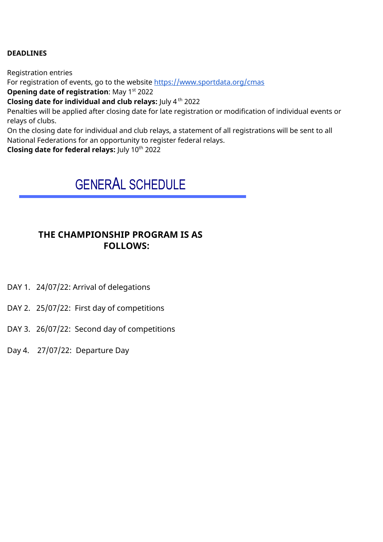#### **DEADLINES**

Registration entries For registration of events, go to the website https://www.sportdata.org/cmas **Opening date of registration: May 1st 2022 Closing date for individual and club relays:** July 4<sup>th</sup> 2022

Penalties will be applied after closing date for late registration or modification of individual events or relays of clubs.

On the closing date for individual and club relays, a statement of all registrations will be sent to all National Federations for an opportunity to register federal relays.

**Closing date for federal relays:** July 10th 2022

## GENERAL SCHEDULE

#### **THE CHAMPIONSHIP PROGRAM IS AS FOLLOWS:**

- DAY 1. 24/07/22: Arrival of delegations
- DAY 2. 25/07/22: First day of competitions
- DAY 3. 26/07/22: Second day of competitions
- Day 4. 27/07/22: Departure Day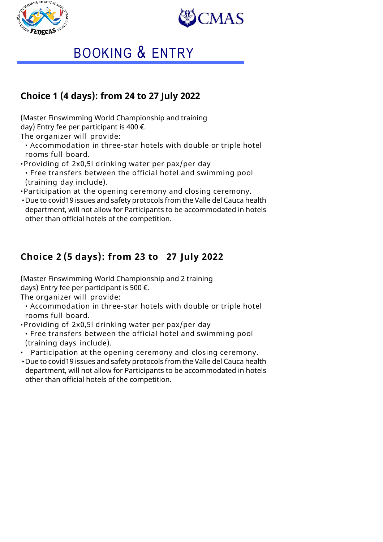



# BOOKING & ENTRY

## **Choice 1 (4 days): from 24 to 27 July 2022**

(Master Finswimming World Championship and training day) Entry fee per participant is 400  $\epsilon$ .

The organizer will provide:

- Accommodation in three-star hotels with double or triple hotel rooms full board.
- •Providing of 2x0,5l drinking water per pax/per day
- Free transfers between the official hotel and swimming pool (training day include).
- •Participation at the opening ceremony and closing ceremony.
- •Due to covid19 issues and safety protocols from the Valle del Cauca health department, will not allow for Participants to be accommodated in hotels other than official hotels of the competition.

## **Choice 2 (5 days): from 23 to 27 July 2022**

(Master Finswimming World Championship and 2 training days) Entry fee per participant is 500  $\epsilon$ .

The organizer will provide:

• Accommodation in three-star hotels with double or triple hotel rooms full board.

•Providing of 2x0,5l drinking water per pax/per day

• Free transfers between the official hotel and swimming pool (training days include).

- Participation at the opening ceremony and closing ceremony.
- •Due to covid19 issues and safety protocols from the Valle del Cauca health department, will not allow for Participants to be accommodated in hotels other than official hotels of the competition.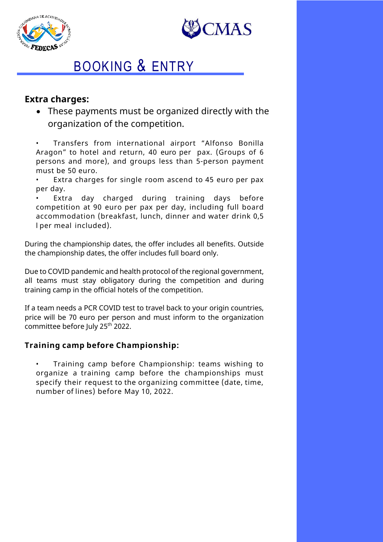



## BOOKING & ENTRY

#### **Extra charges:**

• These payments must be organized directly with the organization of the competition.

• Transfers from international airport "Alfonso Bonilla Aragon" to hotel and return, 40 euro per pax. (Groups of 6 persons and more), and groups less than 5-person payment must be 50 euro.

Extra charges for single room ascend to 45 euro per pax per day.

Extra day charged during training days before competition at 90 euro per pax per day, including full board accommodation (breakfast, lunch, dinner and water drink 0,5 l per meal included).

During the championship dates, the offer includes all benefits. Outside the championship dates, the offer includes full board only.

Due to COVID pandemic and health protocol of the regional government, all teams must stay obligatory during the competition and during training camp in the official hotels of the competition.

If a team needs a PCR COVID test to travel back to your origin countries, price will be 70 euro per person and must inform to the organization committee before July 25th 2022.

#### **Training camp before Championship:**

• Training camp before Championship: teams wishing to organize a training camp before the championships must specify their request to the organizing committee (date, time, number of lines) before May 10, 2022.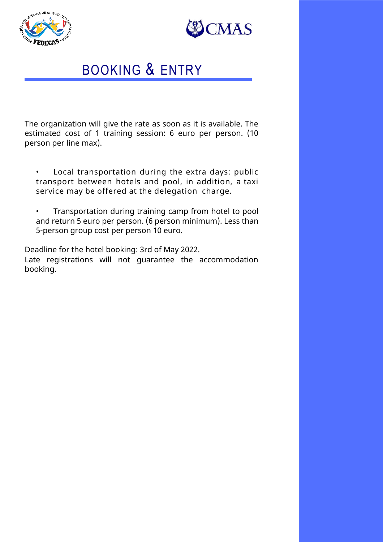



## BOOKING & ENTRY

The organization will give the rate as soon as it is available. The estimated cost of 1 training session: 6 euro per person. (10 person per line max).

- Local transportation during the extra days: public transport between hotels and pool, in addition, a taxi service may be offered at the delegation charge.
- Transportation during training camp from hotel to pool and return 5 euro per person. (6 person minimum). Less than 5-person group cost per person 10 euro.

Deadline for the hotel booking: 3rd of May 2022. Late registrations will not guarantee the accommodation booking.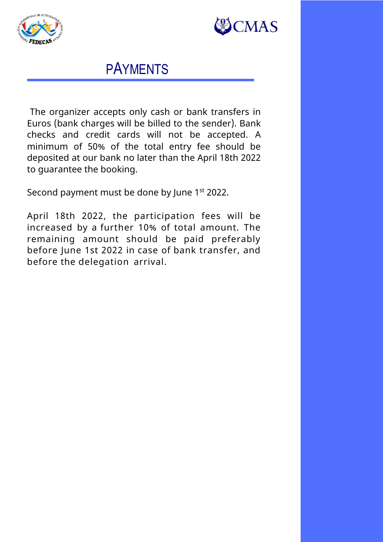



## PAYMENTS

The organizer accepts only cash or bank transfers in Euros (bank charges will be billed to the sender). Bank checks and credit cards will not be accepted. A minimum of 50% of the total entry fee should be deposited at our bank no later than the April 18th 2022 to guarantee the booking.

Second payment must be done by June 1<sup>st</sup> 2022.

April 18th 2022, the participation fees will be increased by a further 10% of total amount. The remaining amount should be paid preferably before June 1st 2022 in case of bank transfer, and before the delegation arrival.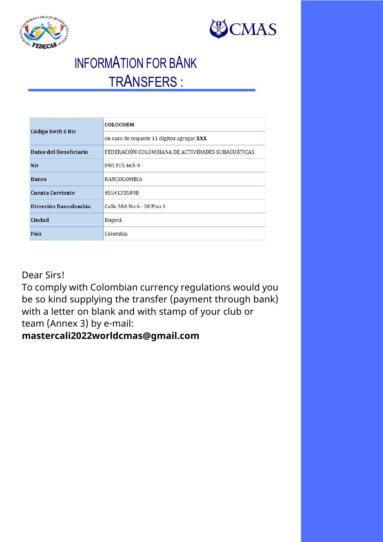



# INFORMATION FOR BANK TRANSFERS :

| Código Swift ó Bic      | <b>COLOCOBM</b>                                   |  |
|-------------------------|---------------------------------------------------|--|
|                         | en caso de requerir 11 dígitos agregar XXX        |  |
| Datos del Beneficiario  | FEDERACIÓN COLOMBIANA DE ACTIVIDADES SUBACUÁTICAS |  |
| Nit.                    | 890.315.463-9                                     |  |
| <b>Banco</b>            | <b>BANCOLOMBIA</b>                                |  |
| <b>Cuenta Corriente</b> | 45541335098                                       |  |
| Dirección Bancolombia   | Calle 30A No 6 - 38 Piso 1                        |  |
| Ciudad                  | Bogotá                                            |  |
| País                    | Colombia                                          |  |

Dear Sirs!

To comply with Colombian currency regulations would you be so kind supplying the transfer (payment through bank) with a letter on blank and with stamp of your club or team (Annex 3) by e-mail:

## **mastercali2022worldcmas@gmail.com**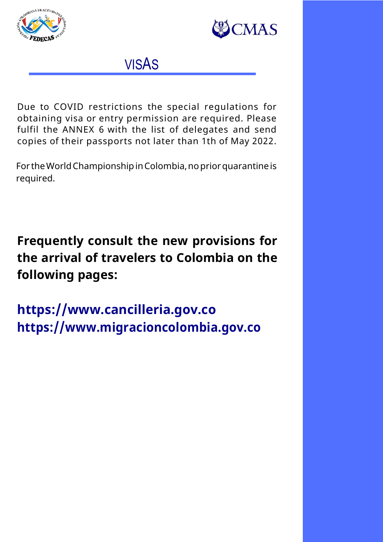



VISAS

Due to COVID restrictions the special regulations for obtaining visa or entry permission are required. Please fulfil the ANNEX 6 with the list of delegates and send copies of their passports not later than 1th of May 2022.

For theWorldChampionshipinColombia,nopriorquarantineis required.

**Frequently consult the new provisions for the arrival of travelers to Colombia on the following pages:**

**https://www.cancilleria.gov.co https://www.migracioncolombia.gov.co**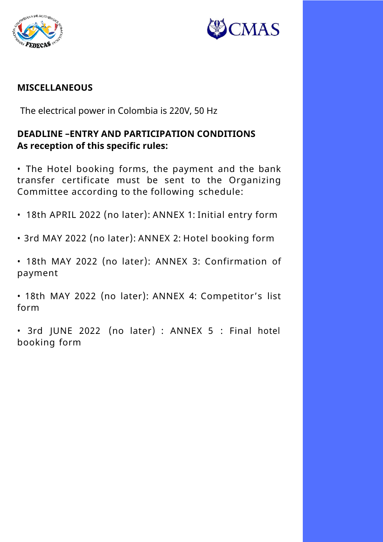



### **MISCELLANEOUS**

The electrical power in Colombia is 220V, 50 Hz

### **DEADLINE –ENTRY AND PARTICIPATION CONDITIONS As reception of this specific rules:**

• The Hotel booking forms, the payment and the bank transfer certificate must be sent to the Organizing Committee according to the following schedule:

- 18th APRIL 2022 (no later): ANNEX 1: Initial entry form
- 3rd MAY 2022 (no later): ANNEX 2: Hotel booking form
- 18th MAY 2022 (no later): ANNEX 3: Confirmation of payment

• 18th MAY 2022 (no later): ANNEX 4: Competitor's list form

• 3rd JUNE 2022 (no later) : ANNEX 5 : Final hotel booking form